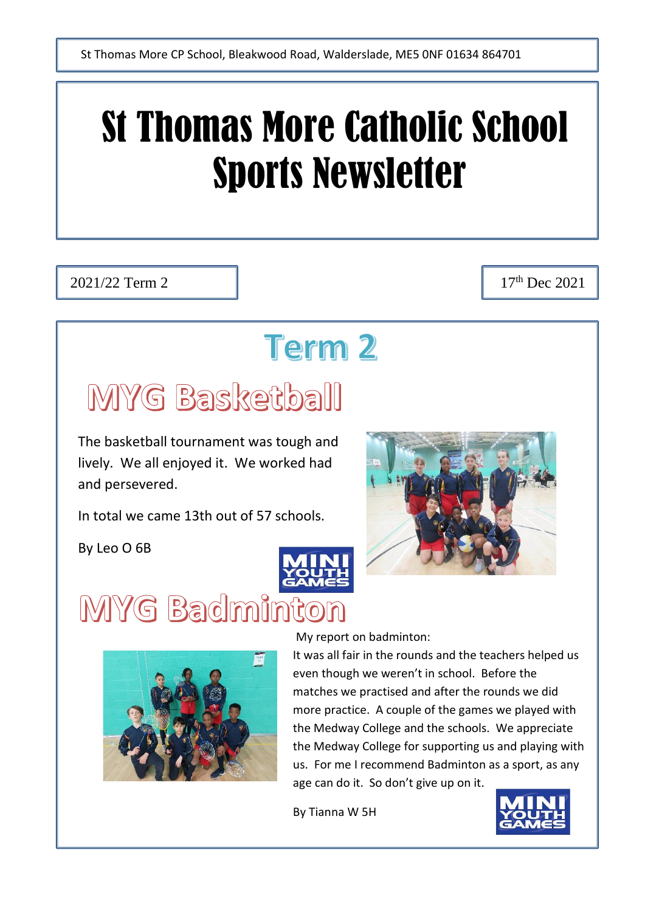# St Thomas More Catholic School Sports Newsletter

2021/22 Term 2 17<sup>th</sup> Dec 2021

## **Term 2**

# MYG Basketball

The basketball tournament was tough and lively. We all enjoyed it. We worked had and persevered.

In total we came 13th out of 57 schools.

By Leo O 6B



# MYG Badminton



My report on badminton:

It was all fair in the rounds and the teachers helped us even though we weren't in school. Before the matches we practised and after the rounds we did more practice. A couple of the games we played with the Medway College and the schools. We appreciate the Medway College for supporting us and playing with us. For me I recommend Badminton as a sport, as any age can do it. So don't give up on it.

By Tianna W 5H